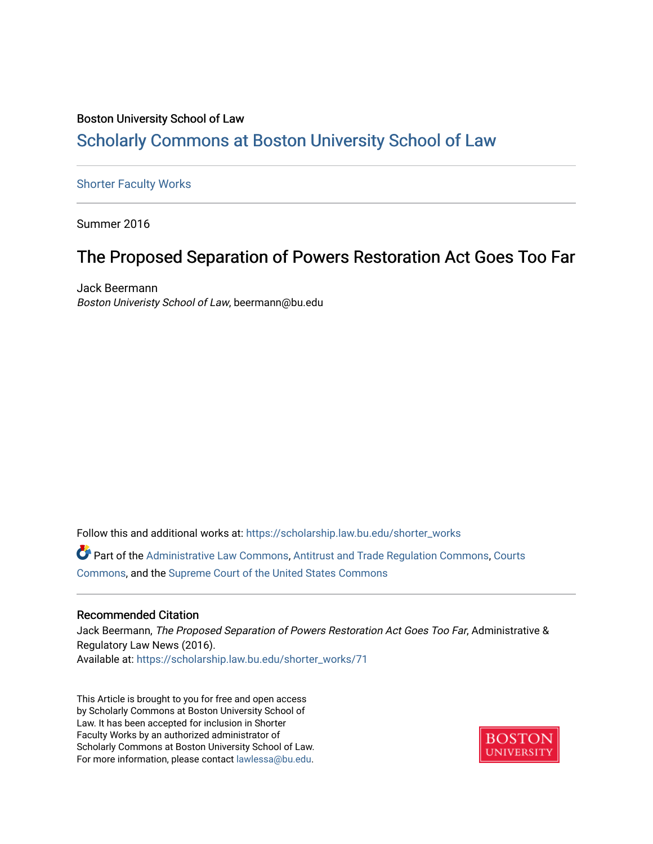### Boston University School of Law [Scholarly Commons at Boston University School of Law](https://scholarship.law.bu.edu/)

#### [Shorter Faculty Works](https://scholarship.law.bu.edu/shorter_works)

Summer 2016

### The Proposed Separation of Powers Restoration Act Goes Too Far

Jack Beermann Boston Univeristy School of Law, beermann@bu.edu

Follow this and additional works at: [https://scholarship.law.bu.edu/shorter\\_works](https://scholarship.law.bu.edu/shorter_works?utm_source=scholarship.law.bu.edu%2Fshorter_works%2F71&utm_medium=PDF&utm_campaign=PDFCoverPages)

Part of the [Administrative Law Commons,](http://network.bepress.com/hgg/discipline/579?utm_source=scholarship.law.bu.edu%2Fshorter_works%2F71&utm_medium=PDF&utm_campaign=PDFCoverPages) [Antitrust and Trade Regulation Commons,](http://network.bepress.com/hgg/discipline/911?utm_source=scholarship.law.bu.edu%2Fshorter_works%2F71&utm_medium=PDF&utm_campaign=PDFCoverPages) [Courts](http://network.bepress.com/hgg/discipline/839?utm_source=scholarship.law.bu.edu%2Fshorter_works%2F71&utm_medium=PDF&utm_campaign=PDFCoverPages)  [Commons](http://network.bepress.com/hgg/discipline/839?utm_source=scholarship.law.bu.edu%2Fshorter_works%2F71&utm_medium=PDF&utm_campaign=PDFCoverPages), and the [Supreme Court of the United States Commons](http://network.bepress.com/hgg/discipline/1350?utm_source=scholarship.law.bu.edu%2Fshorter_works%2F71&utm_medium=PDF&utm_campaign=PDFCoverPages) 

#### Recommended Citation

Jack Beermann, The Proposed Separation of Powers Restoration Act Goes Too Far, Administrative & Regulatory Law News (2016). Available at: [https://scholarship.law.bu.edu/shorter\\_works/71](https://scholarship.law.bu.edu/shorter_works/71?utm_source=scholarship.law.bu.edu%2Fshorter_works%2F71&utm_medium=PDF&utm_campaign=PDFCoverPages)

This Article is brought to you for free and open access by Scholarly Commons at Boston University School of Law. It has been accepted for inclusion in Shorter Faculty Works by an authorized administrator of Scholarly Commons at Boston University School of Law. For more information, please contact [lawlessa@bu.edu](mailto:lawlessa@bu.edu).

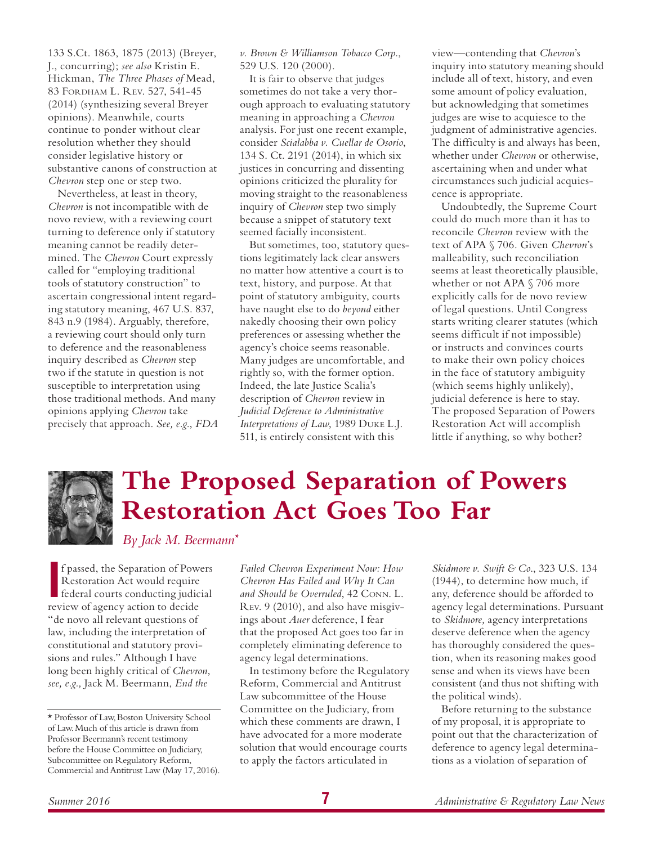133 S.Ct. 1863, 1875 (2013) (Breyer, J., concurring); *see also* Kristin E. Hickman, *The Three Phases of* Mead, 83 Fordham L. Rev. 527, 541-45 (2014) (synthesizing several Breyer opinions). Meanwhile, courts continue to ponder without clear resolution whether they should consider legislative history or substantive canons of construction at *Chevron* step one or step two.

Nevertheless, at least in theory, *Chevron* is not incompatible with de novo review, with a reviewing court turning to deference only if statutory meaning cannot be readily determined. The *Chevron* Court expressly called for "employing traditional tools of statutory construction" to ascertain congressional intent regarding statutory meaning, 467 U.S. 837, 843 n.9 (1984). Arguably, therefore, a reviewing court should only turn to deference and the reasonableness inquiry described as *Chevron* step two if the statute in question is not susceptible to interpretation using those traditional methods. And many opinions applying *Chevron* take precisely that approach. *See, e.g.*, *FDA*  *v. Brown & Williamson Tobacco Corp.*, 529 U.S. 120 (2000).

It is fair to observe that judges sometimes do not take a very thorough approach to evaluating statutory meaning in approaching a *Chevron* analysis. For just one recent example, consider *Scialabba v. Cuellar de Osorio*, 134 S. Ct. 2191 (2014), in which six justices in concurring and dissenting opinions criticized the plurality for moving straight to the reasonableness inquiry of *Chevron* step two simply because a snippet of statutory text seemed facially inconsistent.

But sometimes, too, statutory questions legitimately lack clear answers no matter how attentive a court is to text, history, and purpose. At that point of statutory ambiguity, courts have naught else to do *beyond* either nakedly choosing their own policy preferences or assessing whether the agency's choice seems reasonable. Many judges are uncomfortable, and rightly so, with the former option. Indeed, the late Justice Scalia's description of *Chevron* review in *Judicial Deference to Administrative Interpretations of Law*, 1989 Duke L.J. 511, is entirely consistent with this

view—contending that *Chevron*'s inquiry into statutory meaning should include all of text, history, and even some amount of policy evaluation, but acknowledging that sometimes judges are wise to acquiesce to the judgment of administrative agencies. The difficulty is and always has been, whether under *Chevron* or otherwise, ascertaining when and under what circumstances such judicial acquiescence is appropriate.

Undoubtedly, the Supreme Court could do much more than it has to reconcile *Chevron* review with the text of APA § 706. Given *Chevron*'s malleability, such reconciliation seems at least theoretically plausible, whether or not APA § 706 more explicitly calls for de novo review of legal questions. Until Congress starts writing clearer statutes (which seems difficult if not impossible) or instructs and convinces courts to make their own policy choices in the face of statutory ambiguity (which seems highly unlikely), judicial deference is here to stay. The proposed Separation of Powers Restoration Act will accomplish little if anything, so why bother?



# **The Proposed Separation of Powers Restoration Act Goes Too Far**

*By Jack M. Beermann\**

**I** f passed, the Separation of Power<br>
Restoration Act would require<br>
federal courts conducting judic<br>
review of agency action to decide f passed, the Separation of Powers Restoration Act would require federal courts conducting judicial "de novo all relevant questions of law, including the interpretation of constitutional and statutory provisions and rules." Although I have long been highly critical of *Chevron*, *see, e.g.,* Jack M. Beermann, *End the* 

*Failed Chevron Experiment Now: How Chevron Has Failed and Why It Can and Should be Overruled*, 42 Conn. L. Rev. 9 (2010), and also have misgivings about *Auer* deference, I fear that the proposed Act goes too far in completely eliminating deference to agency legal determinations.

In testimony before the Regulatory Reform, Commercial and Antitrust Law subcommittee of the House Committee on the Judiciary, from which these comments are drawn, I have advocated for a more moderate solution that would encourage courts to apply the factors articulated in

*Skidmore v. Swift & Co*., 323 U.S. 134 (1944), to determine how much, if any, deference should be afforded to agency legal determinations. Pursuant to *Skidmore,* agency interpretations deserve deference when the agency has thoroughly considered the question, when its reasoning makes good sense and when its views have been consistent (and thus not shifting with the political winds).

Before returning to the substance of my proposal, it is appropriate to point out that the characterization of deference to agency legal determinations as a violation of separation of

<sup>\*</sup> Professor of Law, Boston University School of Law. Much of this article is drawn from Professor Beermann's recent testimony before the House Committee on Judiciary, Subcommittee on Regulatory Reform, Commercial and Antitrust Law (May 17, 2016).